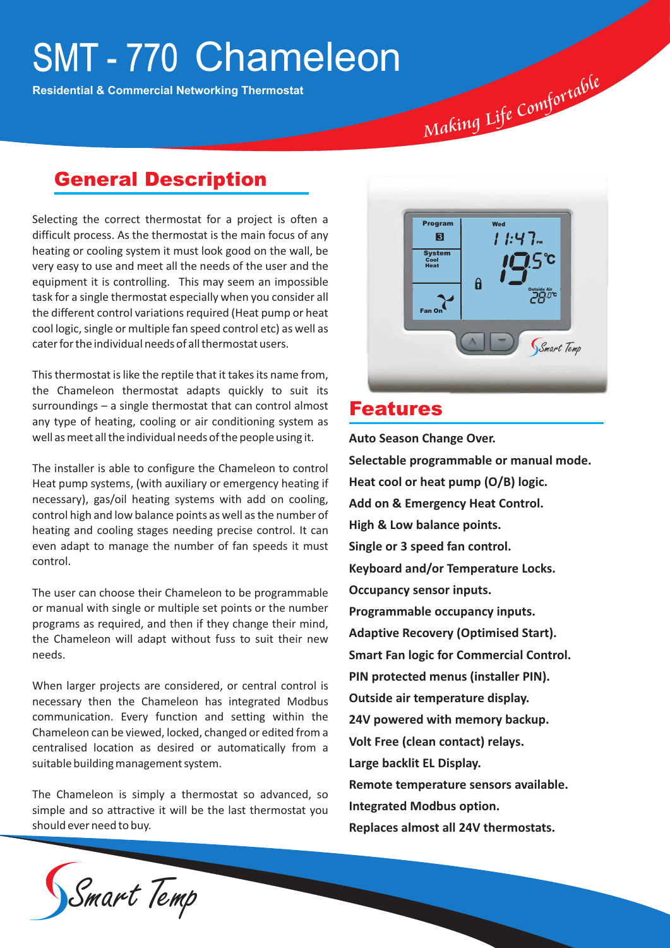# SMT-770 Chameleon

**Residential & Commercial Networking Thermostat**

### General Description

Selecting the correct thermostat for a project is often a difficult process. As the thermostat is the main focus of any heating or cooling system it must look good on the wall, be very easy to use and meet all the needs of the user and the equipment it is controlling. This may seem an impossible task for a single thermostat especially when you consider all the different control variations required (Heat pump or heat cool logic, single or multiple fan speed control etc) as well as cater for the individual needs of all thermostat users.

This thermostat is like the reptile that it takes its name from, the Chameleon thermostat adapts quickly to suit its surroundings – a single thermostat that can control almost any type of heating, cooling or air conditioning system as well as meet all the individual needs of the people using it.

The installer is able to configure the Chameleon to control Heat pump systems, (with auxiliary or emergency heating if necessary), gas/oil heating systems with add on cooling, control high and low balance points as well as the number of heating and cooling stages needing precise control. It can even adapt to manage the number of fan speeds it must control.

The user can choose their Chameleon to be programmable or manual with single or multiple set points or the number programs as required, and then if they change their mind, the Chameleon will adapt without fuss to suit their new needs.

When larger projects are considered, or central control is necessary then the Chameleon has integrated Modbus communication. Every function and setting within the Chameleon can be viewed, locked, changed or edited from a centralised location as desired or automatically from a suitable building management system.

The Chameleon is simply a thermostat so advanced, so simple and so attractive it will be the last thermostat you should ever need to buy.



*<sup>m</sup>f<sup>o</sup> <sup>C</sup><sup>o</sup> <sup>L</sup><sup>i</sup>fe ing Mak*

*le ab <sup>r</sup><sup>t</sup>*

### Features

**Auto Season Change Over. Selectable programmable or manual mode. Heat cool or heat pump (O/B) logic. Add on & Emergency Heat Control. High & Low balance points. Single or 3 speed fan control. Keyboard and/or Temperature Locks. Occupancy sensor inputs. Programmable occupancy inputs. Adaptive Recovery (Optimised Start). Smart Fan logic for Commercial Control. PIN protected menus (installer PIN). Outside air temperature display. 24V powered with memory backup. Volt Free (clean contact) relays. Large backlit EL Display. Remote temperature sensors available. Integrated Modbus option. Replaces almost all 24V thermostats.**